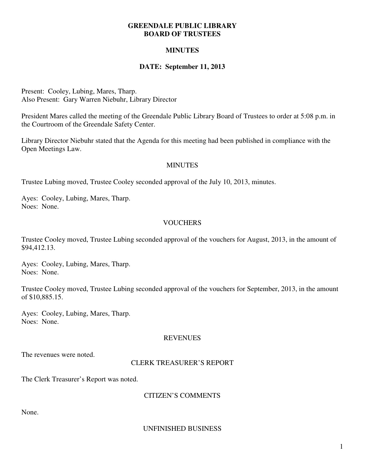#### **GREENDALE PUBLIC LIBRARY BOARD OF TRUSTEES**

## **MINUTES**

### **DATE: September 11, 2013**

Present: Cooley, Lubing, Mares, Tharp. Also Present: Gary Warren Niebuhr, Library Director

President Mares called the meeting of the Greendale Public Library Board of Trustees to order at 5:08 p.m. in the Courtroom of the Greendale Safety Center.

Library Director Niebuhr stated that the Agenda for this meeting had been published in compliance with the Open Meetings Law.

#### **MINUTES**

Trustee Lubing moved, Trustee Cooley seconded approval of the July 10, 2013, minutes.

Ayes: Cooley, Lubing, Mares, Tharp. Noes: None.

### **VOUCHERS**

Trustee Cooley moved, Trustee Lubing seconded approval of the vouchers for August, 2013, in the amount of \$94,412.13.

Ayes: Cooley, Lubing, Mares, Tharp. Noes: None.

Trustee Cooley moved, Trustee Lubing seconded approval of the vouchers for September, 2013, in the amount of \$10,885.15.

Ayes: Cooley, Lubing, Mares, Tharp. Noes: None.

#### REVENUES

The revenues were noted.

#### CLERK TREASURER'S REPORT

The Clerk Treasurer's Report was noted.

#### CITIZEN'S COMMENTS

None.

#### UNFINISHED BUSINESS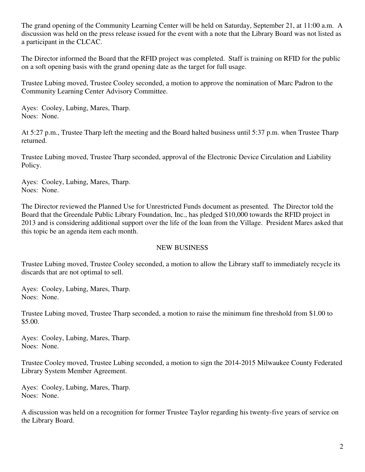The grand opening of the Community Learning Center will be held on Saturday, September 21, at 11:00 a.m. A discussion was held on the press release issued for the event with a note that the Library Board was not listed as a participant in the CLCAC.

The Director informed the Board that the RFID project was completed. Staff is training on RFID for the public on a soft opening basis with the grand opening date as the target for full usage.

Trustee Lubing moved, Trustee Cooley seconded, a motion to approve the nomination of Marc Padron to the Community Learning Center Advisory Committee.

Ayes: Cooley, Lubing, Mares, Tharp. Noes: None.

At 5:27 p.m., Trustee Tharp left the meeting and the Board halted business until 5:37 p.m. when Trustee Tharp returned.

Trustee Lubing moved, Trustee Tharp seconded, approval of the Electronic Device Circulation and Liability Policy.

Ayes: Cooley, Lubing, Mares, Tharp. Noes: None.

The Director reviewed the Planned Use for Unrestricted Funds document as presented. The Director told the Board that the Greendale Public Library Foundation, Inc., has pledged \$10,000 towards the RFID project in 2013 and is considering additional support over the life of the loan from the Village. President Mares asked that this topic be an agenda item each month.

## NEW BUSINESS

Trustee Lubing moved, Trustee Cooley seconded, a motion to allow the Library staff to immediately recycle its discards that are not optimal to sell.

Ayes: Cooley, Lubing, Mares, Tharp. Noes: None.

Trustee Lubing moved, Trustee Tharp seconded, a motion to raise the minimum fine threshold from \$1.00 to \$5.00.

Ayes: Cooley, Lubing, Mares, Tharp. Noes: None.

Trustee Cooley moved, Trustee Lubing seconded, a motion to sign the 2014-2015 Milwaukee County Federated Library System Member Agreement.

Ayes: Cooley, Lubing, Mares, Tharp. Noes: None.

A discussion was held on a recognition for former Trustee Taylor regarding his twenty-five years of service on the Library Board.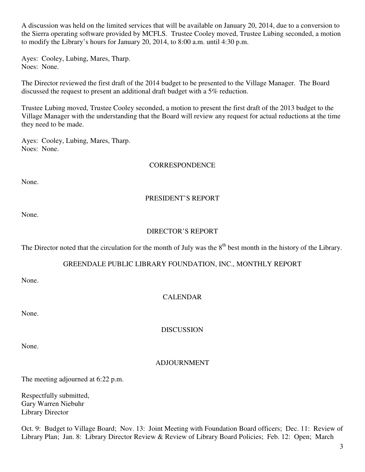A discussion was held on the limited services that will be available on January 20, 2014, due to a conversion to the Sierra operating software provided by MCFLS. Trustee Cooley moved, Trustee Lubing seconded, a motion to modify the Library's hours for January 20, 2014, to 8:00 a.m. until 4:30 p.m.

Ayes: Cooley, Lubing, Mares, Tharp. Noes: None.

The Director reviewed the first draft of the 2014 budget to be presented to the Village Manager. The Board discussed the request to present an additional draft budget with a 5% reduction.

Trustee Lubing moved, Trustee Cooley seconded, a motion to present the first draft of the 2013 budget to the Village Manager with the understanding that the Board will review any request for actual reductions at the time they need to be made.

Ayes: Cooley, Lubing, Mares, Tharp. Noes: None.

### **CORRESPONDENCE**

None.

# PRESIDENT'S REPORT

None.

# DIRECTOR'S REPORT

The Director noted that the circulation for the month of July was the  $8<sup>th</sup>$  best month in the history of the Library.

## GREENDALE PUBLIC LIBRARY FOUNDATION, INC., MONTHLY REPORT

None.

# CALENDAR

None.

DISCUSSION

None.

## ADJOURNMENT

The meeting adjourned at 6:22 p.m.

Respectfully submitted, Gary Warren Niebuhr Library Director

Oct. 9: Budget to Village Board; Nov. 13: Joint Meeting with Foundation Board officers; Dec. 11: Review of Library Plan; Jan. 8: Library Director Review & Review of Library Board Policies; Feb. 12: Open; March